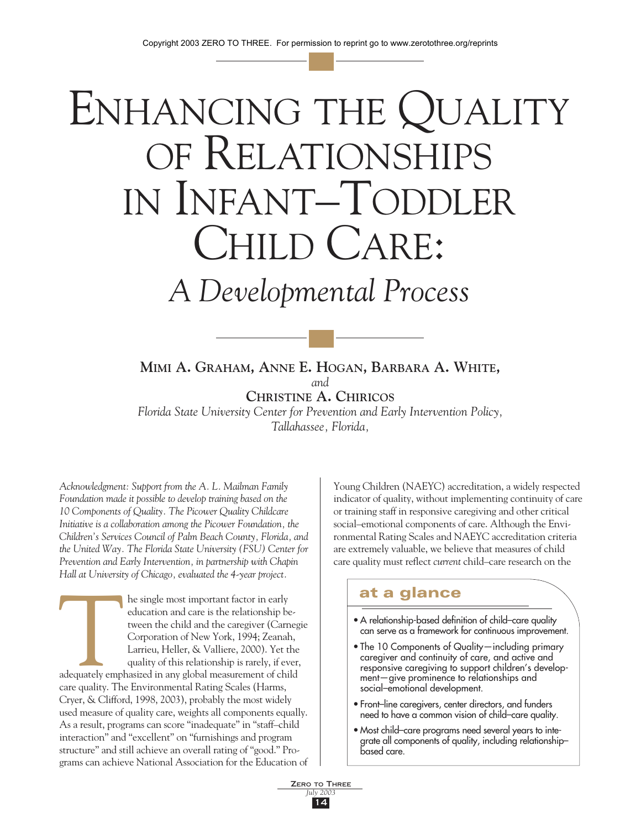# ENHANCING THE QUALITY OF RELATIONSHIPS IN INFANT–TODDLER CHILD CARE:

# *A Developmental Process*

**MIMI A. GRAHAM, ANNE E. HOGAN, BARBARA A. WHITE,** *and* **CHRISTINE A. CHIRICOS**

*Florida State University Center for Prevention and Early Intervention Policy, Tallahassee, Florida,*

*Acknowledgment: Support from the A. L. Mailman Family Foundation made it possible to develop training based on the 10 Components of Quality. The Picower Quality Childcare Initiative is a collaboration among the Picower Foundation, the Children's Services Council of Palm Beach County, Florida, and the United Way. The Florida State University (FSU) Center for Prevention and Early Intervention, in partnership with Chapin Hall at University of Chicago, evaluated the 4-year project.*

adequately employees he single most important factor in early education and care is the relationship between the child and the caregiver (Carnegie Corporation of New York, 1994; Zeanah, Larrieu, Heller, & Valliere, 2000). Yet the quality of this relationship is rarely, if ever, adequately emphasized in any global measurement of child care quality. The Environmental Rating Scales (Harms, Cryer, & Clifford, 1998, 2003), probably the most widely used measure of quality care, weights all components equally. As a result, programs can score "inadequate" in "staff–child interaction" and "excellent" on "furnishings and program structure" and still achieve an overall rating of "good." Programs can achieve National Association for the Education of Young Children (NAEYC) accreditation, a widely respected indicator of quality, without implementing continuity of care or training staff in responsive caregiving and other critical social–emotional components of care. Although the Environmental Rating Scales and NAEYC accreditation criteria are extremely valuable, we believe that measures of child care quality must reflect *current* child–care research on the

# at a glance

- A relationship-based definition of child–care quality can serve as a framework for continuous improvement.
- The 10 Components of Quality—including primary caregiver and continuity of care, and active and responsive caregiving to support children's development—give prominence to relationships and social–emotional development.
- Front–line caregivers, center directors, and funders need to have a common vision of child–care quality.
- Most child–care programs need several years to integrate all components of quality, including relationship– based care.

ZERO TO THREE *July 2003* 14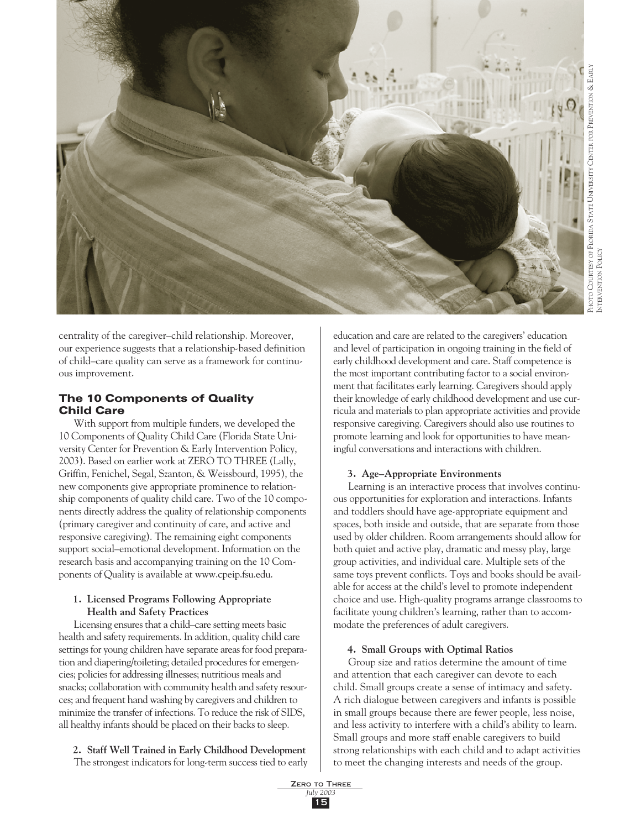

centrality of the caregiver–child relationship. Moreover, our experience suggests that a relationship-based definition of child–care quality can serve as a framework for continuous improvement.

# The 10 Components of Quality Child Care

With support from multiple funders, we developed the 10 Components of Quality Child Care (Florida State University Center for Prevention & Early Intervention Policy, 2003). Based on earlier work at ZERO TO THREE (Lally, Griffin, Fenichel, Segal, Szanton, & Weissbourd, 1995), the new components give appropriate prominence to relationship components of quality child care. Two of the 10 components directly address the quality of relationship components (primary caregiver and continuity of care, and active and responsive caregiving). The remaining eight components support social–emotional development. Information on the research basis and accompanying training on the 10 Components of Quality is available at www.cpeip.fsu.edu.

# **1. Licensed Programs Following Appropriate Health and Safety Practices**

Licensing ensures that a child–care setting meets basic health and safety requirements. In addition, quality child care settings for young children have separate areas for food preparation and diapering/toileting; detailed procedures for emergencies; policies for addressing illnesses; nutritious meals and snacks; collaboration with community health and safety resources; and frequent hand washing by caregivers and children to minimize the transfer of infections. To reduce the risk of SIDS, all healthy infants should be placed on their backs to sleep.

#### **2. Staff Well Trained in Early Childhood Development** The strongest indicators for long-term success tied to early

and level of participation in ongoing training in the field of early childhood development and care. Staff competence is the most important contributing factor to a social environment that facilitates early learning. Caregivers should apply their knowledge of early childhood development and use curricula and materials to plan appropriate activities and provide responsive caregiving. Caregivers should also use routines to promote learning and look for opportunities to have meaningful conversations and interactions with children.

education and care are related to the caregivers' education

# **3. Age–Appropriate Environments**

Learning is an interactive process that involves continuous opportunities for exploration and interactions. Infants and toddlers should have age-appropriate equipment and spaces, both inside and outside, that are separate from those used by older children. Room arrangements should allow for both quiet and active play, dramatic and messy play, large group activities, and individual care. Multiple sets of the same toys prevent conflicts. Toys and books should be available for access at the child's level to promote independent choice and use. High-quality programs arrange classrooms to facilitate young children's learning, rather than to accommodate the preferences of adult caregivers.

# **4. Small Groups with Optimal Ratios**

Group size and ratios determine the amount of time and attention that each caregiver can devote to each child. Small groups create a sense of intimacy and safety. A rich dialogue between caregivers and infants is possible in small groups because there are fewer people, less noise, and less activity to interfere with a child's ability to learn. Small groups and more staff enable caregivers to build strong relationships with each child and to adapt activities to meet the changing interests and needs of the group.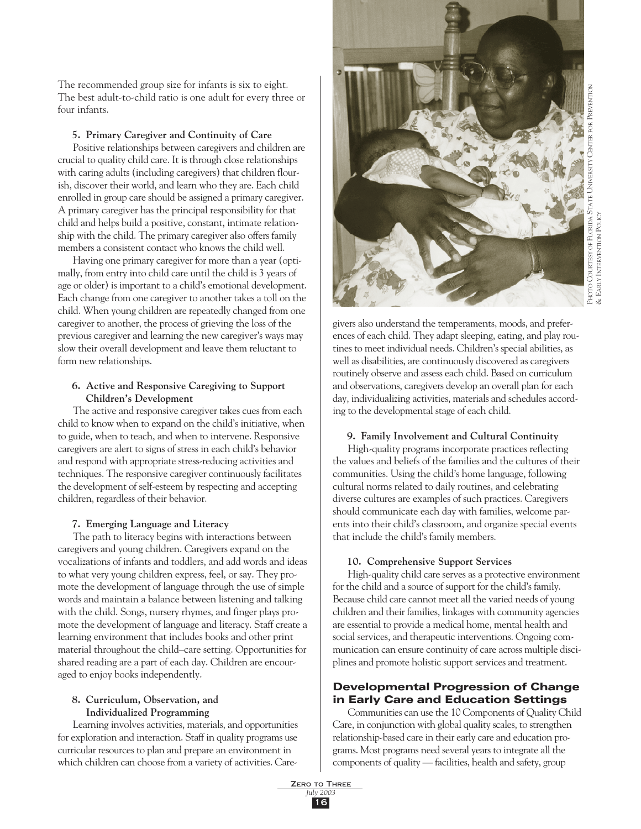The recommended group size for infants is six to eight. The best adult-to-child ratio is one adult for every three or four infants.

#### **5. Primary Caregiver and Continuity of Care**

Positive relationships between caregivers and children are crucial to quality child care. It is through close relationships with caring adults (including caregivers) that children flourish, discover their world, and learn who they are. Each child enrolled in group care should be assigned a primary caregiver. A primary caregiver has the principal responsibility for that child and helps build a positive, constant, intimate relationship with the child. The primary caregiver also offers family members a consistent contact who knows the child well.

Having one primary caregiver for more than a year (optimally, from entry into child care until the child is 3 years of age or older) is important to a child's emotional development. Each change from one caregiver to another takes a toll on the child. When young children are repeatedly changed from one caregiver to another, the process of grieving the loss of the previous caregiver and learning the new caregiver's ways may slow their overall development and leave them reluctant to form new relationships.

#### **6. Active and Responsive Caregiving to Support Children's Development**

The active and responsive caregiver takes cues from each child to know when to expand on the child's initiative, when to guide, when to teach, and when to intervene. Responsive caregivers are alert to signs of stress in each child's behavior and respond with appropriate stress-reducing activities and techniques. The responsive caregiver continuously facilitates the development of self-esteem by respecting and accepting children, regardless of their behavior.

#### **7. Emerging Language and Literacy**

The path to literacy begins with interactions between caregivers and young children. Caregivers expand on the vocalizations of infants and toddlers, and add words and ideas to what very young children express, feel, or say. They promote the development of language through the use of simple words and maintain a balance between listening and talking with the child. Songs, nursery rhymes, and finger plays promote the development of language and literacy. Staff create a learning environment that includes books and other print material throughout the child–care setting. Opportunities for shared reading are a part of each day. Children are encouraged to enjoy books independently.

#### **8. Curriculum, Observation, and Individualized Programming**

Learning involves activities, materials, and opportunities for exploration and interaction. Staff in quality programs use curricular resources to plan and prepare an environment in which children can choose from a variety of activities. Care-



givers also understand the temperaments, moods, and preferences of each child. They adapt sleeping, eating, and play routines to meet individual needs. Children's special abilities, as well as disabilities, are continuously discovered as caregivers routinely observe and assess each child. Based on curriculum and observations, caregivers develop an overall plan for each day, individualizing activities, materials and schedules according to the developmental stage of each child.

#### **9. Family Involvement and Cultural Continuity**

High-quality programs incorporate practices reflecting the values and beliefs of the families and the cultures of their communities. Using the child's home language, following cultural norms related to daily routines, and celebrating diverse cultures are examples of such practices. Caregivers should communicate each day with families, welcome parents into their child's classroom, and organize special events that include the child's family members.

#### **10. Comprehensive Support Services**

High-quality child care serves as a protective environment for the child and a source of support for the child's family. Because child care cannot meet all the varied needs of young children and their families, linkages with community agencies are essential to provide a medical home, mental health and social services, and therapeutic interventions. Ongoing communication can ensure continuity of care across multiple disciplines and promote holistic support services and treatment.

# Developmental Progression of Change in Early Care and Education Settings

Communities can use the 10 Components of Quality Child Care, in conjunction with global quality scales, to strengthen relationship-based care in their early care and education programs. Most programs need several years to integrate all the components of quality — facilities, health and safety, group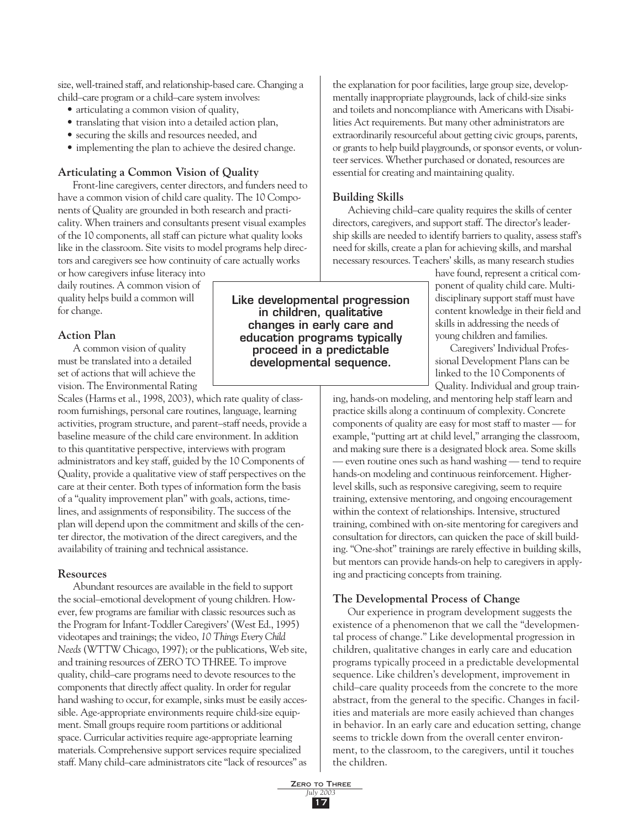size, well-trained staff, and relationship-based care. Changing a child–care program or a child–care system involves:

- articulating a common vision of quality,
- translating that vision into a detailed action plan,
- securing the skills and resources needed, and
- implementing the plan to achieve the desired change.

# **Articulating a Common Vision of Quality**

Front-line caregivers, center directors, and funders need to have a common vision of child care quality. The 10 Components of Quality are grounded in both research and practicality. When trainers and consultants present visual examples of the 10 components, all staff can picture what quality looks like in the classroom. Site visits to model programs help directors and caregivers see how continuity of care actually works or how caregivers infuse literacy into

daily routines. A common vision of quality helps build a common will for change.

### **Action Plan**

A common vision of quality must be translated into a detailed set of actions that will achieve the vision. The Environmental Rating

Scales (Harms et al., 1998, 2003), which rate quality of classroom furnishings, personal care routines, language, learning activities, program structure, and parent–staff needs, provide a baseline measure of the child care environment. In addition to this quantitative perspective, interviews with program administrators and key staff, guided by the 10 Components of Quality, provide a qualitative view of staff perspectives on the care at their center. Both types of information form the basis of a "quality improvement plan" with goals, actions, timelines, and assignments of responsibility. The success of the plan will depend upon the commitment and skills of the center director, the motivation of the direct caregivers, and the availability of training and technical assistance.

#### **Resources**

Abundant resources are available in the field to support the social–emotional development of young children. However, few programs are familiar with classic resources such as the Program for Infant-Toddler Caregivers' (West Ed., 1995) videotapes and trainings; the video, *10 Things Every Child Needs* (WTTW Chicago, 1997); or the publications, Web site, and training resources of ZERO TO THREE. To improve quality, child–care programs need to devote resources to the components that directly affect quality. In order for regular hand washing to occur, for example, sinks must be easily accessible. Age-appropriate environments require child-size equipment. Small groups require room partitions or additional space. Curricular activities require age-appropriate learning materials. Comprehensive support services require specialized staff. Many child–care administrators cite "lack of resources" as the explanation for poor facilities, large group size, developmentally inappropriate playgrounds, lack of child-size sinks and toilets and noncompliance with Americans with Disabilities Act requirements. But many other administrators are extraordinarily resourceful about getting civic groups, parents, or grants to help build playgrounds, or sponsor events, or volunteer services. Whether purchased or donated, resources are essential for creating and maintaining quality.

#### **Building Skills**

Achieving child–care quality requires the skills of center directors, caregivers, and support staff. The director's leadership skills are needed to identify barriers to quality, assess staff's need for skills, create a plan for achieving skills, and marshal necessary resources. Teachers' skills, as many research studies

> have found, represent a critical component of quality child care. Multidisciplinary support staff must have content knowledge in their field and skills in addressing the needs of young children and families.

Caregivers' Individual Professional Development Plans can be linked to the 10 Components of Quality. Individual and group train-

ing, hands-on modeling, and mentoring help staff learn and practice skills along a continuum of complexity. Concrete components of quality are easy for most staff to master — for example, "putting art at child level," arranging the classroom, and making sure there is a designated block area. Some skills — even routine ones such as hand washing — tend to require hands-on modeling and continuous reinforcement. Higherlevel skills, such as responsive caregiving, seem to require training, extensive mentoring, and ongoing encouragement within the context of relationships. Intensive, structured training, combined with on-site mentoring for caregivers and consultation for directors, can quicken the pace of skill building. "One-shot" trainings are rarely effective in building skills, but mentors can provide hands-on help to caregivers in applying and practicing concepts from training.

#### **The Developmental Process of Change**

Our experience in program development suggests the existence of a phenomenon that we call the "developmental process of change." Like developmental progression in children, qualitative changes in early care and education programs typically proceed in a predictable developmental sequence. Like children's development, improvement in child–care quality proceeds from the concrete to the more abstract, from the general to the specific. Changes in facilities and materials are more easily achieved than changes in behavior. In an early care and education setting, change seems to trickle down from the overall center environment, to the classroom, to the caregivers, until it touches the children.

Like developmental progression in children, qualitative changes in early care and education programs typically proceed in a predictable developmental sequence.

> ZERO TO THREE *July 2003* 17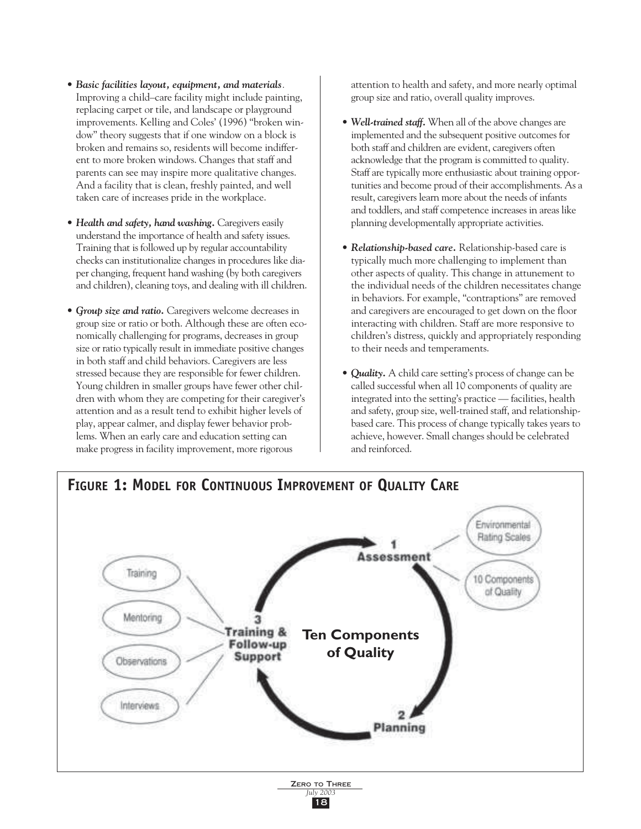- *Basic facilities layout, equipment, and materials.* Improving a child–care facility might include painting, replacing carpet or tile, and landscape or playground improvements. Kelling and Coles' (1996) "broken window" theory suggests that if one window on a block is broken and remains so, residents will become indifferent to more broken windows. Changes that staff and parents can see may inspire more qualitative changes. And a facility that is clean, freshly painted, and well taken care of increases pride in the workplace.
- *Health and safety, hand washing.* Caregivers easily understand the importance of health and safety issues. Training that is followed up by regular accountability checks can institutionalize changes in procedures like diaper changing, frequent hand washing (by both caregivers and children), cleaning toys, and dealing with ill children.
- *Group size and ratio.* Caregivers welcome decreases in group size or ratio or both. Although these are often economically challenging for programs, decreases in group size or ratio typically result in immediate positive changes in both staff and child behaviors. Caregivers are less stressed because they are responsible for fewer children. Young children in smaller groups have fewer other children with whom they are competing for their caregiver's attention and as a result tend to exhibit higher levels of play, appear calmer, and display fewer behavior problems. When an early care and education setting can make progress in facility improvement, more rigorous

attention to health and safety, and more nearly optimal group size and ratio, overall quality improves.

- *Well-trained staff.* When all of the above changes are implemented and the subsequent positive outcomes for both staff and children are evident, caregivers often acknowledge that the program is committed to quality. Staff are typically more enthusiastic about training opportunities and become proud of their accomplishments. As a result, caregivers learn more about the needs of infants and toddlers, and staff competence increases in areas like planning developmentally appropriate activities.
- *Relationship-based care.* Relationship-based care is typically much more challenging to implement than other aspects of quality. This change in attunement to the individual needs of the children necessitates change in behaviors. For example, "contraptions" are removed and caregivers are encouraged to get down on the floor interacting with children. Staff are more responsive to children's distress, quickly and appropriately responding to their needs and temperaments.
- *Quality.* A child care setting's process of change can be called successful when all 10 components of quality are integrated into the setting's practice — facilities, health and safety, group size, well-trained staff, and relationshipbased care. This process of change typically takes years to achieve, however. Small changes should be celebrated and reinforced.

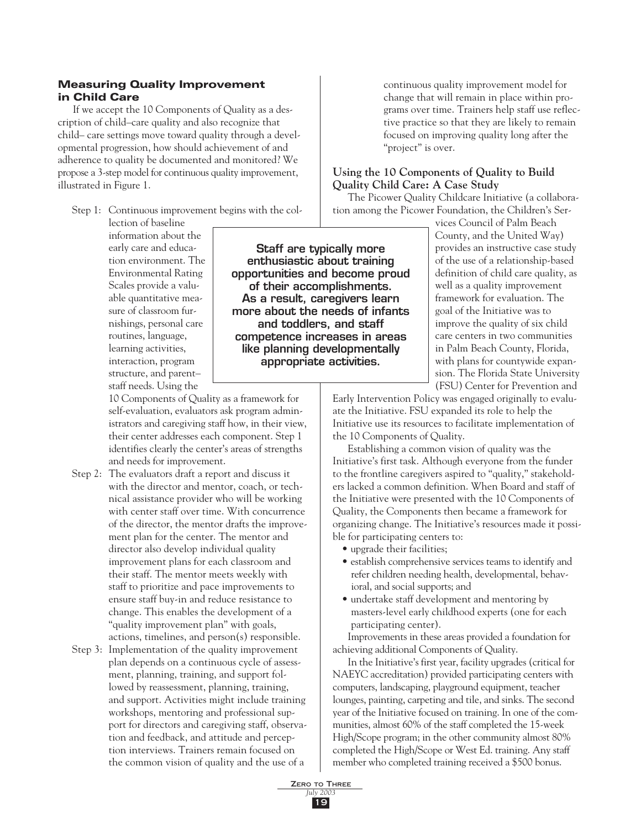# Measuring Quality Improvement in Child Care

If we accept the 10 Components of Quality as a description of child–care quality and also recognize that child– care settings move toward quality through a developmental progression, how should achievement of and adherence to quality be documented and monitored? We propose a 3-step model for continuous quality improvement, illustrated in Figure 1.

Step 1: Continuous improvement begins with the col-

lection of baseline information about the early care and education environment. The Environmental Rating Scales provide a valuable quantitative measure of classroom furnishings, personal care routines, language, learning activities, interaction, program structure, and parent– staff needs. Using the

Staff are typically more enthusiastic about training opportunities and become proud of their accomplishments. As a result, caregivers learn more about the needs of infants and toddlers, and staff competence increases in areas like planning developmentally appropriate activities.

10 Components of Quality as a framework for self-evaluation, evaluators ask program administrators and caregiving staff how, in their view, their center addresses each component. Step 1 identifies clearly the center's areas of strengths and needs for improvement.

- Step 2: The evaluators draft a report and discuss it with the director and mentor, coach, or technical assistance provider who will be working with center staff over time. With concurrence of the director, the mentor drafts the improvement plan for the center. The mentor and director also develop individual quality improvement plans for each classroom and their staff. The mentor meets weekly with staff to prioritize and pace improvements to ensure staff buy-in and reduce resistance to change. This enables the development of a "quality improvement plan" with goals, actions, timelines, and person(s) responsible.
- Step 3: Implementation of the quality improvement plan depends on a continuous cycle of assessment, planning, training, and support followed by reassessment, planning, training, and support. Activities might include training workshops, mentoring and professional support for directors and caregiving staff, observation and feedback, and attitude and perception interviews. Trainers remain focused on the common vision of quality and the use of a

continuous quality improvement model for change that will remain in place within programs over time. Trainers help staff use reflective practice so that they are likely to remain focused on improving quality long after the "project" is over.

# **Using the 10 Components of Quality to Build Quality Child Care: A Case Study**

The Picower Quality Childcare Initiative (a collaboration among the Picower Foundation, the Children's Ser-

> vices Council of Palm Beach County, and the United Way) provides an instructive case study of the use of a relationship-based definition of child care quality, as well as a quality improvement framework for evaluation. The goal of the Initiative was to improve the quality of six child care centers in two communities in Palm Beach County, Florida, with plans for countywide expansion. The Florida State University (FSU) Center for Prevention and

Early Intervention Policy was engaged originally to evaluate the Initiative. FSU expanded its role to help the Initiative use its resources to facilitate implementation of the 10 Components of Quality.

Establishing a common vision of quality was the Initiative's first task. Although everyone from the funder to the frontline caregivers aspired to "quality," stakeholders lacked a common definition. When Board and staff of the Initiative were presented with the 10 Components of Quality, the Components then became a framework for organizing change. The Initiative's resources made it possible for participating centers to:

- upgrade their facilities:
- establish comprehensive services teams to identify and refer children needing health, developmental, behavioral, and social supports; and
- undertake staff development and mentoring by masters-level early childhood experts (one for each participating center).

Improvements in these areas provided a foundation for achieving additional Components of Quality.

In the Initiative's first year, facility upgrades (critical for NAEYC accreditation) provided participating centers with computers, landscaping, playground equipment, teacher lounges, painting, carpeting and tile, and sinks. The second year of the Initiative focused on training. In one of the communities, almost 60% of the staff completed the 15-week High/Scope program; in the other community almost 80% completed the High/Scope or West Ed. training. Any staff member who completed training received a \$500 bonus.